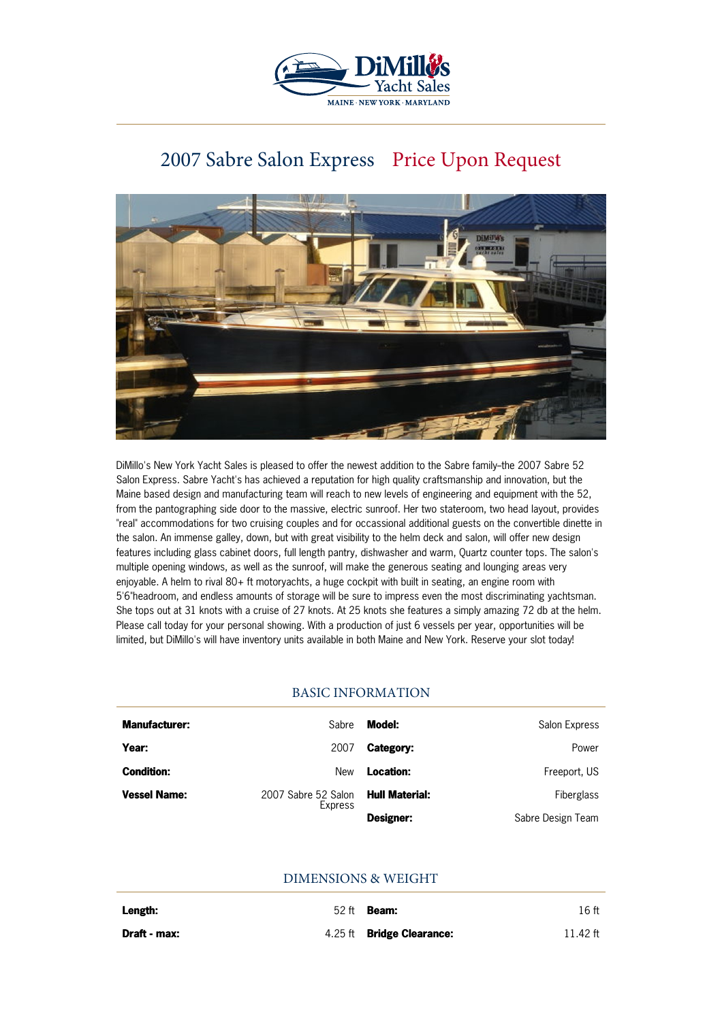

# 2007 Sabre Salon Express Price Upon Request



DiMillo's New York Yacht Sales is pleased to offer the newest addition to the Sabre family--the 2007 Sabre 52 Salon Express. Sabre Yacht's has achieved a reputation for high quality craftsmanship and innovation, but the Maine based design and manufacturing team will reach to new levels of engineering and equipment with the 52, from the pantographing side door to the massive, electric sunroof. Her two stateroom, two head layout, provides "real" accommodations for two cruising couples and for occassional additional guests on the convertible dinette in the salon. An immense galley, down, but with great visibility to the helm deck and salon, will offer new design features including glass cabinet doors, full length pantry, dishwasher and warm, Quartz counter tops. The salon's multiple opening windows, as well as the sunroof, will make the generous seating and lounging areas very enjoyable. A helm to rival 80+ ft motoryachts, a huge cockpit with built in seating, an engine room with 5'6"headroom, and endless amounts of storage will be sure to impress even the most discriminating yachtsman. She tops out at 31 knots with a cruise of 27 knots. At 25 knots she features a simply amazing 72 db at the helm. Please call today for your personal showing. With a production of just 6 vessels per year, opportunities will be limited, but DiMillo's will have inventory units available in both Maine and New York. Reserve your slot today!

## BASIC INFORMATION

| <b>Manufacturer:</b> | Sabre                          | Model:                | Salon Express     |
|----------------------|--------------------------------|-----------------------|-------------------|
| Year:                | 2007                           | Category:             | Power             |
| <b>Condition:</b>    | New                            | Location:             | Freeport, US      |
| <b>Vessel Name:</b>  | 2007 Sabre 52 Salon<br>Express | <b>Hull Material:</b> | Fiberglass        |
|                      |                                | Designer:             | Sabre Design Team |

## DIMENSIONS & WEIGHT

| Length:      | $52$ ft <b>Beam:</b>             | 16 ft    |
|--------------|----------------------------------|----------|
| Draft - max: | 4.25 ft <b>Bridge Clearance:</b> | 11.42 ft |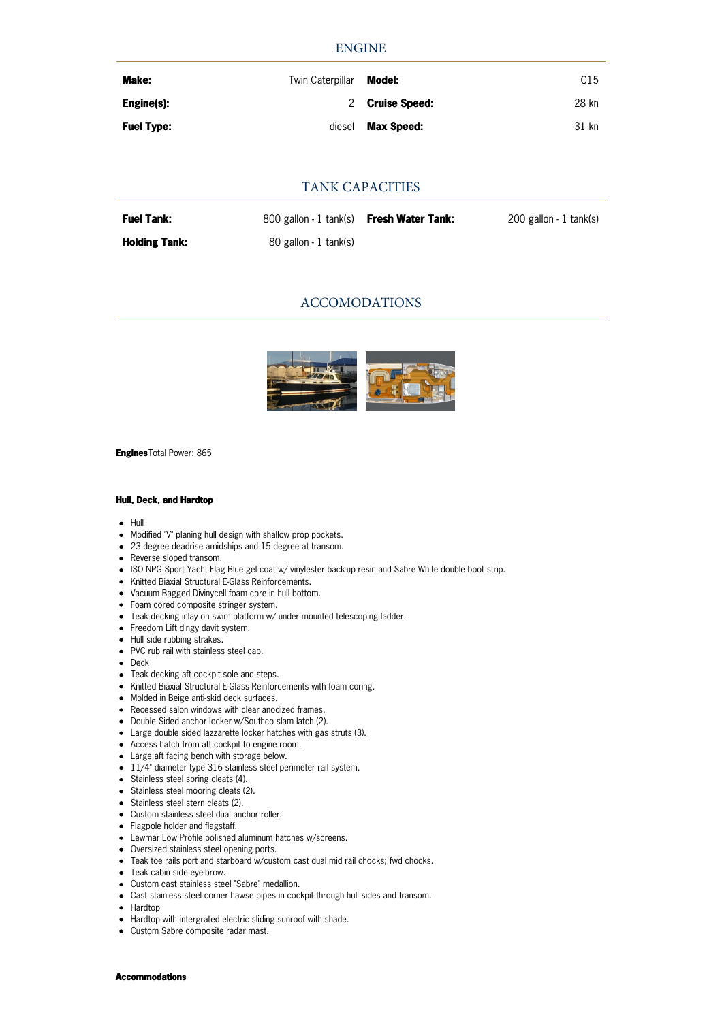### ENGINE

| Make:             | Twin Caterpillar | Model:            | C <sub>15</sub> |
|-------------------|------------------|-------------------|-----------------|
| Engine(s):        |                  | 2 Cruise Speed:   | 28 kn           |
| <b>Fuel Type:</b> | diesel           | <b>Max Speed:</b> | 31 kn           |

### TANK CAPACITIES

| <b>Fuel Tank:</b>    | 800 gallon - 1 tank(s) <b>Fresh Water Tank:</b> | 200 gallon - 1 tank(s) |
|----------------------|-------------------------------------------------|------------------------|
| <b>Holding Tank:</b> | 80 gallon - 1 tank(s)                           |                        |

## ACCOMODATIONS



**Engines**Total Power: 865

#### **Hull, Deck, and Hardtop**

- $-$  Hull
- Modified "V" planing hull design with shallow prop pockets.
- 23 degree deadrise amidships and 15 degree at transom.
- Reverse sloped transom.
- ISO NPG Sport Yacht Flag Blue gel coat w/ vinylester back-up resin and Sabre White double boot strip.
- Knitted Biaxial Structural E-Glass Reinforcements.
- Vacuum Bagged Divinycell foam core in hull bottom.
- Foam cored composite stringer system.
- Teak decking inlay on swim platform w/ under mounted telescoping ladder.
- Freedom Lift dingy davit system.
- Hull side rubbing strakes.
- PVC rub rail with stainless steel cap.
- Deck
- Teak decking aft cockpit sole and steps.
- Knitted Biaxial Structural E-Glass Reinforcements with foam coring.
- Molded in Beige anti-skid deck surfaces.
- Recessed salon windows with clear anodized frames.
- Double Sided anchor locker w/Southco slam latch (2).
- Large double sided lazzarette locker hatches with gas struts (3).
- Access hatch from aft cockpit to engine room.
- Large aft facing bench with storage below.
- 11/4" diameter type 316 stainless steel perimeter rail system.
- Stainless steel spring cleats (4).
- Stainless steel mooring cleats (2).
- Stainless steel stern cleats (2).
- Custom stainless steel dual anchor roller.
- Flagpole holder and flagstaff.
- Lewmar Low Profile polished aluminum hatches w/screens.
- Oversized stainless steel opening ports.
- Teak toe rails port and starboard w/custom cast dual mid rail chocks; fwd chocks.
- Teak cabin side eve-brow.
- Custom cast stainless steel "Sabre" medallion.
- Cast stainless steel corner hawse pipes in cockpit through hull sides and transom.
- Hardtop
- Hardtop with intergrated electric sliding sunroof with shade.
- Custom Sabre composite radar mast.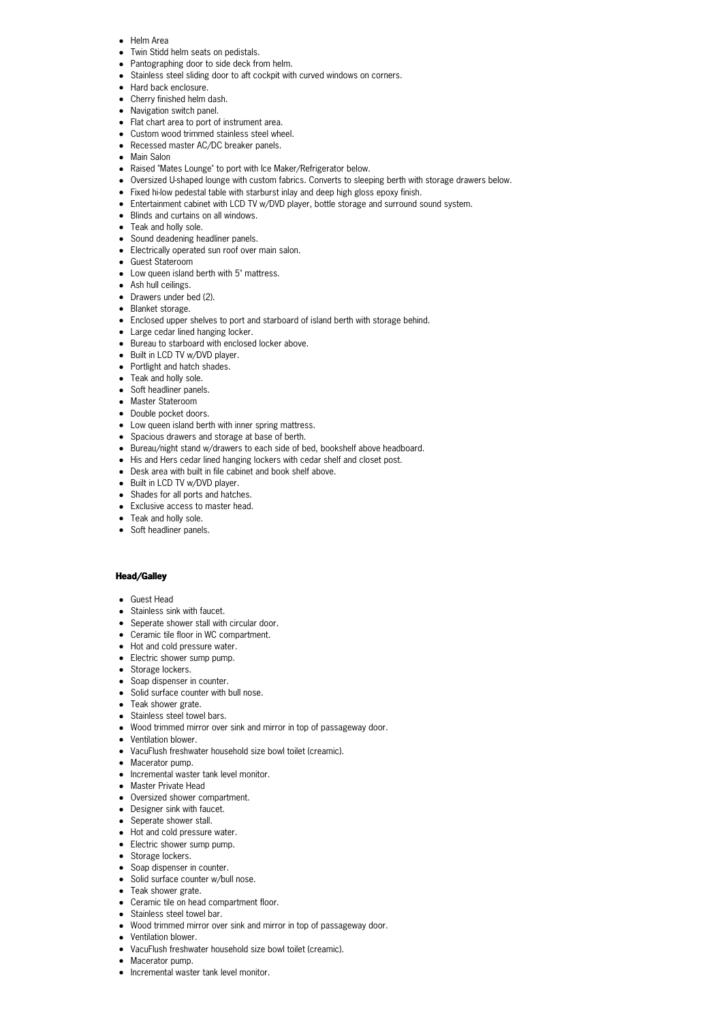- Helm Area
- Twin Stidd helm seats on pedistals.
- Pantographing door to side deck from helm.
- Stainless steel sliding door to aft cockpit with curved windows on corners.
- Hard back enclosure.
- Cherry finished helm dash.
- Navigation switch panel.
- Flat chart area to port of instrument area.
- Custom wood trimmed stainless steel wheel.
- Recessed master AC/DC breaker panels.
- Main Salon
- Raised "Mates Lounge" to port with Ice Maker/Refrigerator below.
- Oversized U-shaped lounge with custom fabrics. Converts to sleeping berth with storage drawers below.
- Fixed hi-low pedestal table with starburst inlay and deep high gloss epoxy finish.
- Entertainment cabinet with LCD TV w/DVD player, bottle storage and surround sound system.
- Blinds and curtains on all windows.
- Teak and holly sole.
- Sound deadening headliner panels.
- Electrically operated sun roof over main salon.
- Guest Stateroom
- Low queen island berth with 5" mattress.
- Ash hull ceilings.
- Drawers under bed (2).
- Blanket storage.
- Enclosed upper shelves to port and starboard of island berth with storage behind.
- Large cedar lined hanging locker.
- Bureau to starboard with enclosed locker above.
- Built in LCD TV w/DVD player.
- Portlight and hatch shades.
- Teak and holly sole.
- Soft headliner panels.
- Master Stateroom
- Double pocket doors.
- Low queen island berth with inner spring mattress.
- Spacious drawers and storage at base of berth.
- Bureau/night stand w/drawers to each side of bed, bookshelf above headboard.
- His and Hers cedar lined hanging lockers with cedar shelf and closet post.
- Desk area with built in file cabinet and book shelf above.
- Built in LCD TV w/DVD player.
- Shades for all ports and hatches.
- Exclusive access to master head.
- Teak and holly sole.
- Soft headliner panels.

#### **Head/Galley**

- Guest Head
- Stainless sink with faucet.
- Seperate shower stall with circular door.
- Ceramic tile floor in WC compartment.
- Hot and cold pressure water.
- Electric shower sump pump.
- Storage lockers.
- Soap dispenser in counter.
- Solid surface counter with bull nose.
- Teak shower grate.
- Stainless steel towel bars.
- Wood trimmed mirror over sink and mirror in top of passageway door.
- Ventilation blower.
- VacuFlush freshwater household size bowl toilet (creamic).
- Macerator pump.
- Incremental waster tank level monitor.
- Master Private Head
- Oversized shower compartment.
- Designer sink with faucet.
- Seperate shower stall.
- Hot and cold pressure water.
- Electric shower sump pump.
- Storage lockers.
- Soap dispenser in counter.
- Solid surface counter w/bull nose.
- Teak shower grate.
- Ceramic tile on head compartment floor.
- Stainless steel towel bar.
- Wood trimmed mirror over sink and mirror in top of passageway door.
- Ventilation blower.
- VacuFlush freshwater household size bowl toilet (creamic).
- Macerator pump.
- Incremental waster tank level monitor.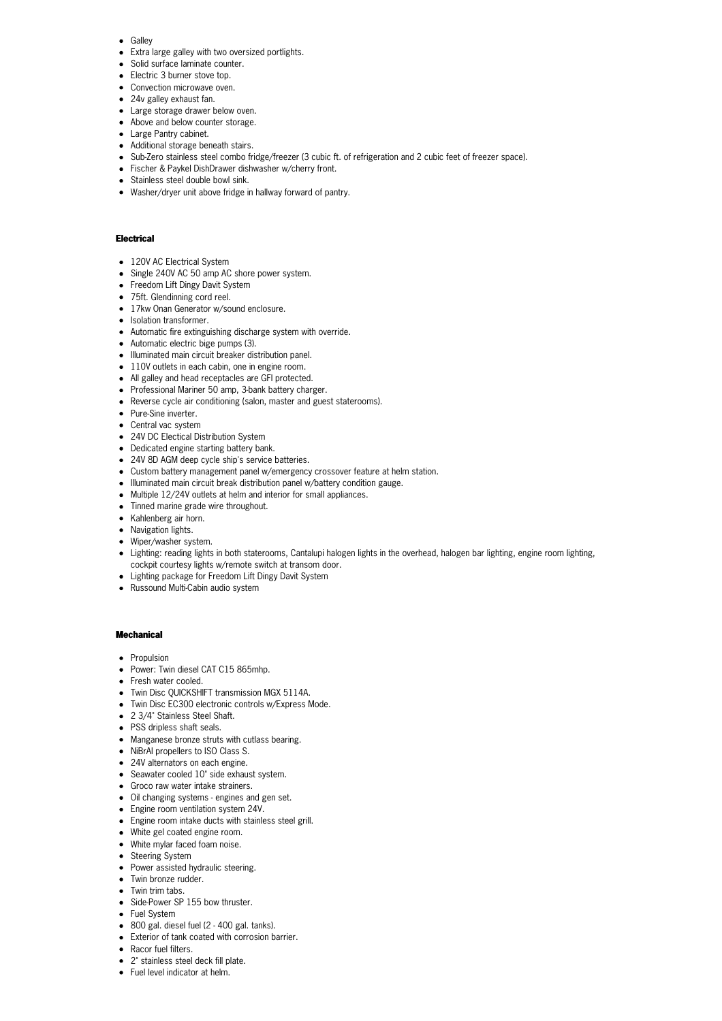- Galley
- Extra large galley with two oversized portlights.
- Solid surface laminate counter.
- Electric 3 burner stove top.
- Convection microwave oven.
- 24v galley exhaust fan.
- Large storage drawer below oven.
- Above and below counter storage.
- Large Pantry cabinet.
- Additional storage beneath stairs.
- Sub-Zero stainless steel combo fridge/freezer (3 cubic ft. of refrigeration and 2 cubic feet of freezer space).
- Fischer & Paykel DishDrawer dishwasher w/cherry front.
- Stainless steel double bowl sink.
- Washer/dryer unit above fridge in hallway forward of pantry.

#### **Electrical**

- 120V AC Electrical System
- Single 240V AC 50 amp AC shore power system.
- Freedom Lift Dingy Davit System
- 75ft. Glendinning cord reel.
- 17kw Onan Generator w/sound enclosure.
- Isolation transformer.
- Automatic fire extinguishing discharge system with override.
- Automatic electric bige pumps (3).
- $\bullet$  Illuminated main circuit breaker distribution panel.
- 110V outlets in each cabin, one in engine room.
- All galley and head receptacles are GFI protected.
- Professional Mariner 50 amp, 3-bank battery charger.
- Reverse cycle air conditioning (salon, master and guest staterooms).
- **Pure-Sine inverter.**
- Central vac system
- 24V DC Electical Distribution System
- Dedicated engine starting battery bank.
- 24V 8D AGM deep cycle ship's service batteries.
- Custom battery management panel w/emergency crossover feature at helm station.
- $\bullet$  Illuminated main circuit break distribution panel w/battery condition gauge.
- Multiple 12/24V outlets at helm and interior for small appliances.
- Tinned marine grade wire throughout.
- Kahlenberg air horn.
- Navigation lights.
- Wiper/washer system.
- Lighting: reading lights in both staterooms, Cantalupi halogen lights in the overhead, halogen bar lighting, engine room lighting, cockpit courtesy lights w/remote switch at transom door.
- Lighting package for Freedom Lift Dingy Davit System
- Russound Multi-Cabin audio system

#### **Mechanical**

- Propulsion
- Power: Twin diesel CAT C15 865mhp.
- Fresh water cooled.
- Twin Disc QUICKSHIFT transmission MGX 5114A.
- Twin Disc EC300 electronic controls w/Express Mode.
- 2 3/4" Stainless Steel Shaft.
- PSS dripless shaft seals.
- Manganese bronze struts with cutlass bearing.
- NiBrAl propellers to ISO Class S.
- 24V alternators on each engine.
- Seawater cooled 10" side exhaust system.
- Groco raw water intake strainers.
- Oil changing systems engines and gen set.
- Engine room ventilation system 24V.
- Engine room intake ducts with stainless steel grill.
- White gel coated engine room.
- White mylar faced foam noise.
- Steering System
- Power assisted hydraulic steering.
- Twin bronze rudder.
- Twin trim tabs. • Side-Power SP 155 bow thruster.
- 
- Fuel System
- 800 gal. diesel fuel (2 400 gal. tanks).
- Exterior of tank coated with corrosion barrier.
- Racor fuel filters.
- 2" stainless steel deck fill plate.
- **•** Fuel level indicator at helm.